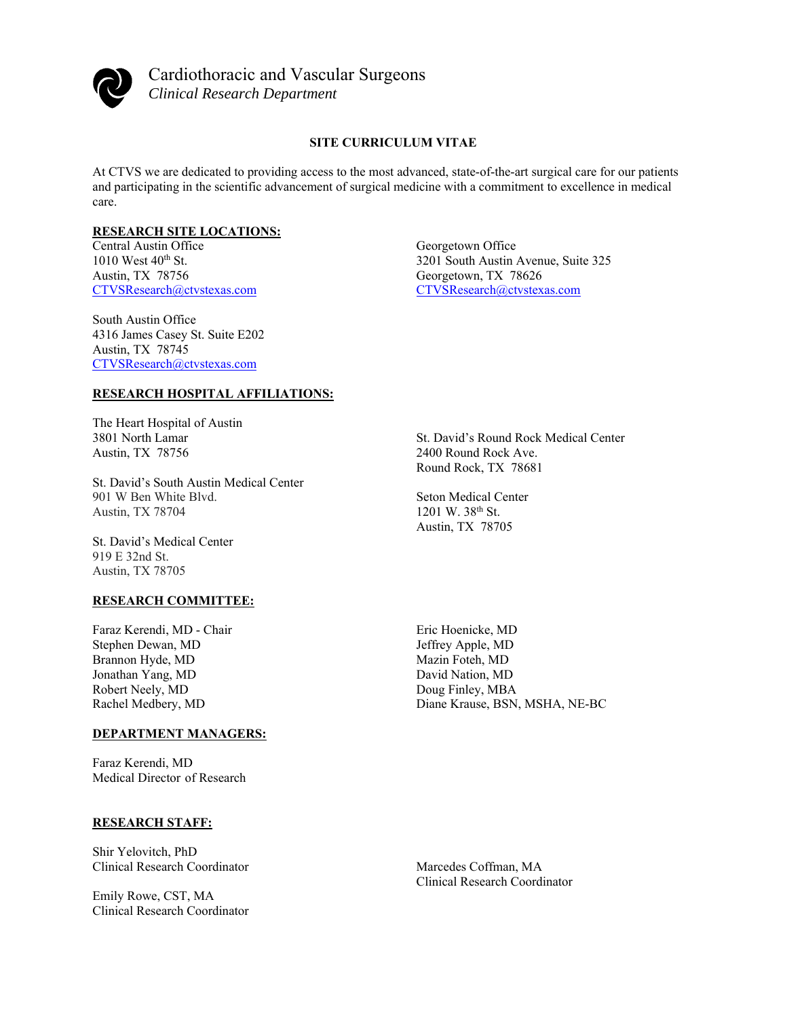

Cardiothoracic and Vascular Surgeons *Clinical Research Department* 

## **SITE CURRICULUM VITAE**

At CTVS we are dedicated to providing access to the most advanced, state-of-the-art surgical care for our patients and participating in the scientific advancement of surgical medicine with a commitment to excellence in medical care.

#### **RESEARCH SITE LOCATIONS:**

Central Austin Office  $1010$  West  $40<sup>th</sup>$  St. Austin, TX 78756 CTVSResearch@ctvstexas.com

South Austin Office 4316 James Casey St. Suite E202 Austin, TX 78745 CTVSResearch@ctvstexas.com

#### **RESEARCH HOSPITAL AFFILIATIONS:**

The Heart Hospital of Austin 3801 North Lamar Austin, TX 78756

St. David's South Austin Medical Center 901 W Ben White Blvd. Austin, TX 78704

St. David's Medical Center 919 E 32nd St. Austin, TX 78705

## **RESEARCH COMMITTEE:**

Faraz Kerendi, MD - Chair Stephen Dewan, MD Brannon Hyde, MD Jonathan Yang, MD Robert Neely, MD Rachel Medbery, MD

## **DEPARTMENT MANAGERS:**

Faraz Kerendi, MD Medical Director of Research

#### **RESEARCH STAFF:**

Shir Yelovitch, PhD Clinical Research Coordinator

Emily Rowe, CST, MA Clinical Research Coordinator Georgetown Office 3201 South Austin Avenue, Suite 325 Georgetown, TX 78626 CTVSResearch@ctvstexas.com

St. David's Round Rock Medical Center 2400 Round Rock Ave. Round Rock, TX 78681

Seton Medical Center 1201 W. 38th St. Austin, TX 78705

Eric Hoenicke, MD Jeffrey Apple, MD Mazin Foteh, MD David Nation, MD Doug Finley, MBA Diane Krause, BSN, MSHA, NE-BC

Marcedes Coffman, MA Clinical Research Coordinator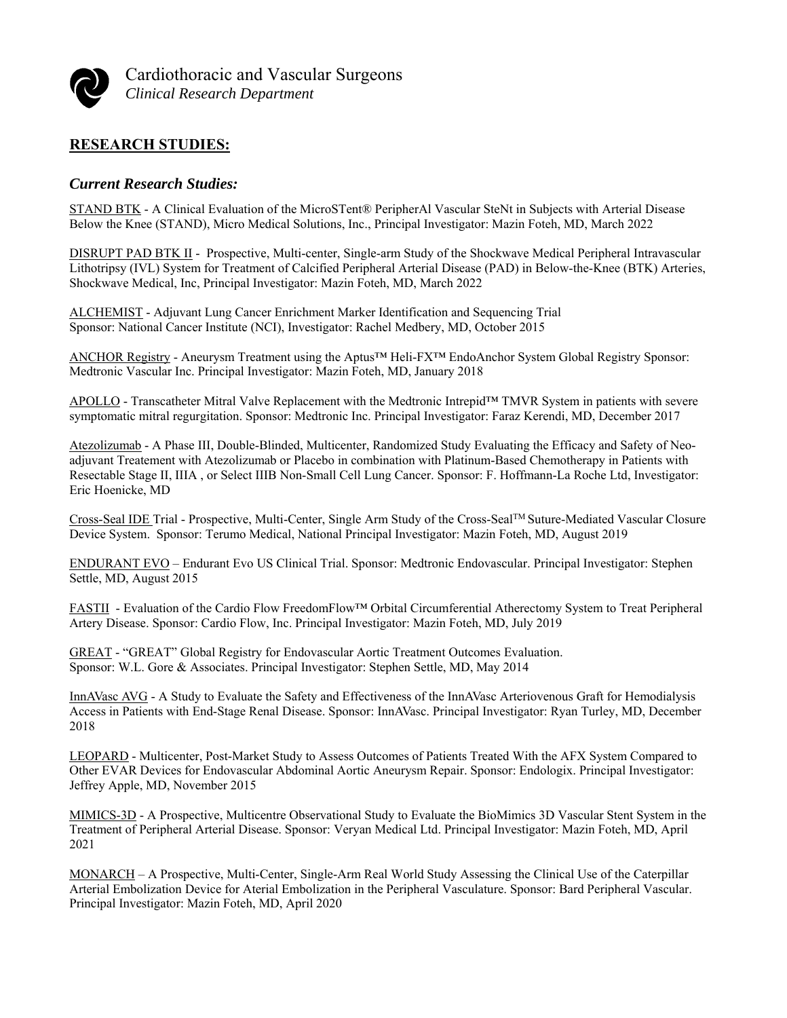

Cardiothoracic and Vascular Surgeons *Clinical Research Department* 

# **RESEARCH STUDIES:**

## *Current Research Studies:*

STAND BTK - A Clinical Evaluation of the MicroSTent® PeripherAl Vascular SteNt in Subjects with Arterial Disease Below the Knee (STAND), Micro Medical Solutions, Inc., Principal Investigator: Mazin Foteh, MD, March 2022

DISRUPT PAD BTK II - Prospective, Multi-center, Single-arm Study of the Shockwave Medical Peripheral Intravascular Lithotripsy (IVL) System for Treatment of Calcified Peripheral Arterial Disease (PAD) in Below-the-Knee (BTK) Arteries, Shockwave Medical, Inc, Principal Investigator: Mazin Foteh, MD, March 2022

ALCHEMIST - Adjuvant Lung Cancer Enrichment Marker Identification and Sequencing Trial Sponsor: National Cancer Institute (NCI), Investigator: Rachel Medbery, MD, October 2015

ANCHOR Registry - Aneurysm Treatment using the Aptus™ Heli-FX™ EndoAnchor System Global Registry Sponsor: Medtronic Vascular Inc. Principal Investigator: Mazin Foteh, MD, January 2018

APOLLO - Transcatheter Mitral Valve Replacement with the Medtronic Intrepid™ TMVR System in patients with severe symptomatic mitral regurgitation. Sponsor: Medtronic Inc. Principal Investigator: Faraz Kerendi, MD, December 2017

Atezolizumab - A Phase III, Double-Blinded, Multicenter, Randomized Study Evaluating the Efficacy and Safety of Neoadjuvant Treatement with Atezolizumab or Placebo in combination with Platinum-Based Chemotherapy in Patients with Resectable Stage II, IIIA , or Select IIIB Non-Small Cell Lung Cancer. Sponsor: F. Hoffmann-La Roche Ltd, Investigator: Eric Hoenicke, MD

Cross-Seal IDE Trial - Prospective, Multi-Center, Single Arm Study of the Cross-SealTM Suture-Mediated Vascular Closure Device System. Sponsor: Terumo Medical, National Principal Investigator: Mazin Foteh, MD, August 2019

ENDURANT EVO – Endurant Evo US Clinical Trial. Sponsor: Medtronic Endovascular. Principal Investigator: Stephen Settle, MD, August 2015

FASTII - Evaluation of the Cardio Flow FreedomFlow™ Orbital Circumferential Atherectomy System to Treat Peripheral Artery Disease. Sponsor: Cardio Flow, Inc. Principal Investigator: Mazin Foteh, MD, July 2019

GREAT - "GREAT" Global Registry for Endovascular Aortic Treatment Outcomes Evaluation. Sponsor: W.L. Gore & Associates. Principal Investigator: Stephen Settle, MD, May 2014

InnAVasc AVG - A Study to Evaluate the Safety and Effectiveness of the InnAVasc Arteriovenous Graft for Hemodialysis Access in Patients with End-Stage Renal Disease. Sponsor: InnAVasc. Principal Investigator: Ryan Turley, MD, December 2018

LEOPARD - Multicenter, Post-Market Study to Assess Outcomes of Patients Treated With the AFX System Compared to Other EVAR Devices for Endovascular Abdominal Aortic Aneurysm Repair. Sponsor: Endologix. Principal Investigator: Jeffrey Apple, MD, November 2015

MIMICS-3D - A Prospective, Multicentre Observational Study to Evaluate the BioMimics 3D Vascular Stent System in the Treatment of Peripheral Arterial Disease. Sponsor: Veryan Medical Ltd. Principal Investigator: Mazin Foteh, MD, April 2021

MONARCH – A Prospective, Multi-Center, Single-Arm Real World Study Assessing the Clinical Use of the Caterpillar Arterial Embolization Device for Aterial Embolization in the Peripheral Vasculature. Sponsor: Bard Peripheral Vascular. Principal Investigator: Mazin Foteh, MD, April 2020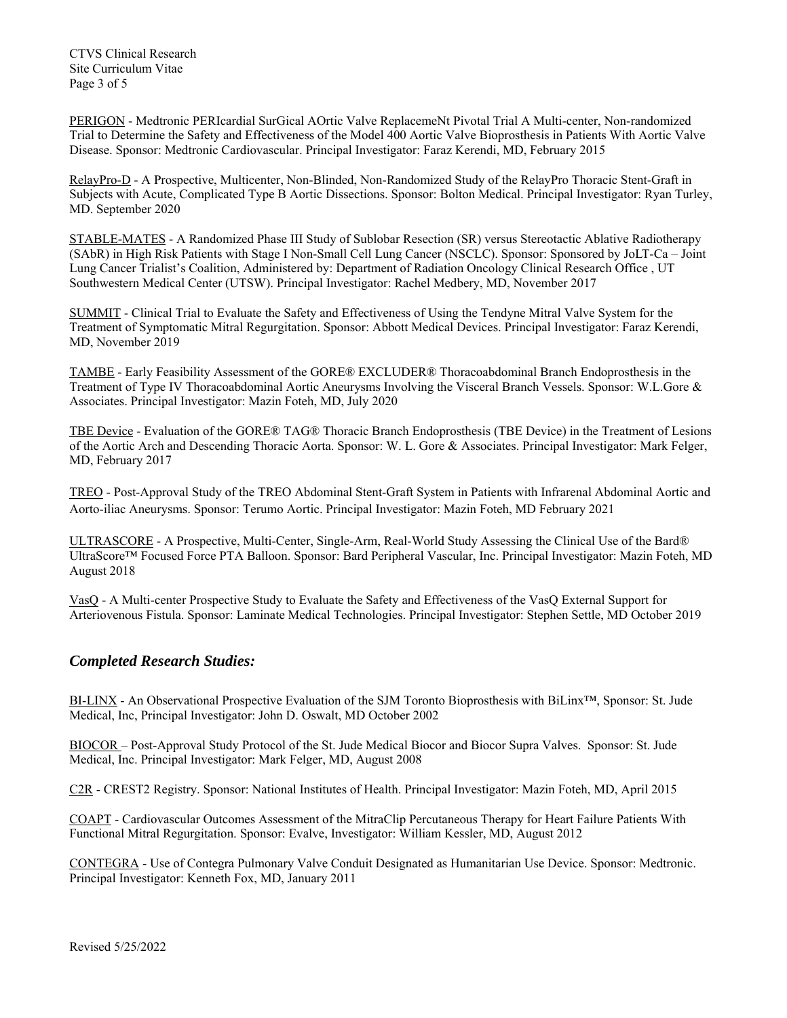CTVS Clinical Research Site Curriculum Vitae Page 3 of 5

PERIGON - Medtronic PERIcardial SurGical AOrtic Valve ReplacemeNt Pivotal Trial A Multi-center, Non-randomized Trial to Determine the Safety and Effectiveness of the Model 400 Aortic Valve Bioprosthesis in Patients With Aortic Valve Disease. Sponsor: Medtronic Cardiovascular. Principal Investigator: Faraz Kerendi, MD, February 2015

RelayPro-D - A Prospective, Multicenter, Non-Blinded, Non-Randomized Study of the RelayPro Thoracic Stent-Graft in Subjects with Acute, Complicated Type B Aortic Dissections. Sponsor: Bolton Medical. Principal Investigator: Ryan Turley, MD. September 2020

STABLE-MATES - A Randomized Phase III Study of Sublobar Resection (SR) versus Stereotactic Ablative Radiotherapy (SAbR) in High Risk Patients with Stage I Non-Small Cell Lung Cancer (NSCLC). Sponsor: Sponsored by JoLT-Ca – Joint Lung Cancer Trialist's Coalition, Administered by: Department of Radiation Oncology Clinical Research Office , UT Southwestern Medical Center (UTSW). Principal Investigator: Rachel Medbery, MD, November 2017

SUMMIT - Clinical Trial to Evaluate the Safety and Effectiveness of Using the Tendyne Mitral Valve System for the Treatment of Symptomatic Mitral Regurgitation. Sponsor: Abbott Medical Devices. Principal Investigator: Faraz Kerendi, MD, November 2019

TAMBE - Early Feasibility Assessment of the GORE® EXCLUDER® Thoracoabdominal Branch Endoprosthesis in the Treatment of Type IV Thoracoabdominal Aortic Aneurysms Involving the Visceral Branch Vessels. Sponsor: W.L.Gore & Associates. Principal Investigator: Mazin Foteh, MD, July 2020

TBE Device - Evaluation of the GORE® TAG® Thoracic Branch Endoprosthesis (TBE Device) in the Treatment of Lesions of the Aortic Arch and Descending Thoracic Aorta. Sponsor: W. L. Gore & Associates. Principal Investigator: Mark Felger, MD, February 2017

TREO - Post-Approval Study of the TREO Abdominal Stent-Graft System in Patients with Infrarenal Abdominal Aortic and Aorto-iliac Aneurysms. Sponsor: Terumo Aortic. Principal Investigator: Mazin Foteh, MD February 2021

ULTRASCORE - A Prospective, Multi-Center, Single-Arm, Real-World Study Assessing the Clinical Use of the Bard® UltraScore™ Focused Force PTA Balloon. Sponsor: Bard Peripheral Vascular, Inc. Principal Investigator: Mazin Foteh, MD August 2018

VasQ - A Multi-center Prospective Study to Evaluate the Safety and Effectiveness of the VasQ External Support for Arteriovenous Fistula. Sponsor: Laminate Medical Technologies. Principal Investigator: Stephen Settle, MD October 2019

# *Completed Research Studies:*

BI-LINX - An Observational Prospective Evaluation of the SJM Toronto Bioprosthesis with BiLinx™, Sponsor: St. Jude Medical, Inc, Principal Investigator: John D. Oswalt, MD October 2002

BIOCOR – Post-Approval Study Protocol of the St. Jude Medical Biocor and Biocor Supra Valves. Sponsor: St. Jude Medical, Inc. Principal Investigator: Mark Felger, MD, August 2008

C2R - CREST2 Registry. Sponsor: National Institutes of Health. Principal Investigator: Mazin Foteh, MD, April 2015

COAPT - Cardiovascular Outcomes Assessment of the MitraClip Percutaneous Therapy for Heart Failure Patients With Functional Mitral Regurgitation. Sponsor: Evalve, Investigator: William Kessler, MD, August 2012

CONTEGRA - Use of Contegra Pulmonary Valve Conduit Designated as Humanitarian Use Device. Sponsor: Medtronic. Principal Investigator: Kenneth Fox, MD, January 2011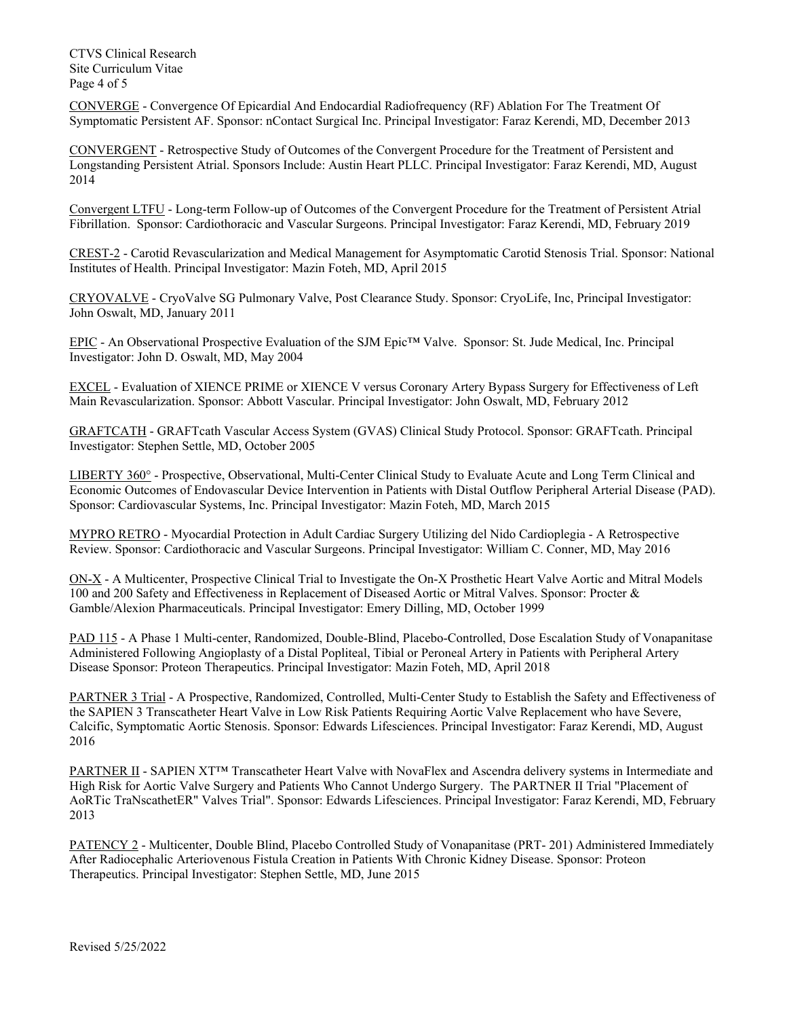CTVS Clinical Research Site Curriculum Vitae Page 4 of 5

CONVERGE - Convergence Of Epicardial And Endocardial Radiofrequency (RF) Ablation For The Treatment Of Symptomatic Persistent AF. Sponsor: nContact Surgical Inc. Principal Investigator: Faraz Kerendi, MD, December 2013

CONVERGENT - Retrospective Study of Outcomes of the Convergent Procedure for the Treatment of Persistent and Longstanding Persistent Atrial. Sponsors Include: Austin Heart PLLC. Principal Investigator: Faraz Kerendi, MD, August 2014

Convergent LTFU - Long-term Follow-up of Outcomes of the Convergent Procedure for the Treatment of Persistent Atrial Fibrillation. Sponsor: Cardiothoracic and Vascular Surgeons. Principal Investigator: Faraz Kerendi, MD, February 2019

CREST-2 - Carotid Revascularization and Medical Management for Asymptomatic Carotid Stenosis Trial. Sponsor: National Institutes of Health. Principal Investigator: Mazin Foteh, MD, April 2015

CRYOVALVE - CryoValve SG Pulmonary Valve, Post Clearance Study. Sponsor: CryoLife, Inc, Principal Investigator: John Oswalt, MD, January 2011

EPIC - An Observational Prospective Evaluation of the SJM Epic™ Valve. Sponsor: St. Jude Medical, Inc. Principal Investigator: John D. Oswalt, MD, May 2004

EXCEL - Evaluation of XIENCE PRIME or XIENCE V versus Coronary Artery Bypass Surgery for Effectiveness of Left Main Revascularization. Sponsor: Abbott Vascular. Principal Investigator: John Oswalt, MD, February 2012

GRAFTCATH - GRAFTcath Vascular Access System (GVAS) Clinical Study Protocol. Sponsor: GRAFTcath. Principal Investigator: Stephen Settle, MD, October 2005

LIBERTY 360° - Prospective, Observational, Multi-Center Clinical Study to Evaluate Acute and Long Term Clinical and Economic Outcomes of Endovascular Device Intervention in Patients with Distal Outflow Peripheral Arterial Disease (PAD). Sponsor: Cardiovascular Systems, Inc. Principal Investigator: Mazin Foteh, MD, March 2015

MYPRO RETRO - Myocardial Protection in Adult Cardiac Surgery Utilizing del Nido Cardioplegia - A Retrospective Review. Sponsor: Cardiothoracic and Vascular Surgeons. Principal Investigator: William C. Conner, MD, May 2016

ON-X - A Multicenter, Prospective Clinical Trial to Investigate the On-X Prosthetic Heart Valve Aortic and Mitral Models 100 and 200 Safety and Effectiveness in Replacement of Diseased Aortic or Mitral Valves. Sponsor: Procter & Gamble/Alexion Pharmaceuticals. Principal Investigator: Emery Dilling, MD, October 1999

PAD 115 - A Phase 1 Multi-center, Randomized, Double-Blind, Placebo-Controlled, Dose Escalation Study of Vonapanitase Administered Following Angioplasty of a Distal Popliteal, Tibial or Peroneal Artery in Patients with Peripheral Artery Disease Sponsor: Proteon Therapeutics. Principal Investigator: Mazin Foteh, MD, April 2018

PARTNER 3 Trial - A Prospective, Randomized, Controlled, Multi-Center Study to Establish the Safety and Effectiveness of the SAPIEN 3 Transcatheter Heart Valve in Low Risk Patients Requiring Aortic Valve Replacement who have Severe, Calcific, Symptomatic Aortic Stenosis. Sponsor: Edwards Lifesciences. Principal Investigator: Faraz Kerendi, MD, August 2016

PARTNER II - SAPIEN XT™ Transcatheter Heart Valve with NovaFlex and Ascendra delivery systems in Intermediate and High Risk for Aortic Valve Surgery and Patients Who Cannot Undergo Surgery. The PARTNER II Trial "Placement of AoRTic TraNscathetER" Valves Trial". Sponsor: Edwards Lifesciences. Principal Investigator: Faraz Kerendi, MD, February 2013

PATENCY 2 - Multicenter, Double Blind, Placebo Controlled Study of Vonapanitase (PRT- 201) Administered Immediately After Radiocephalic Arteriovenous Fistula Creation in Patients With Chronic Kidney Disease. Sponsor: Proteon Therapeutics. Principal Investigator: Stephen Settle, MD, June 2015